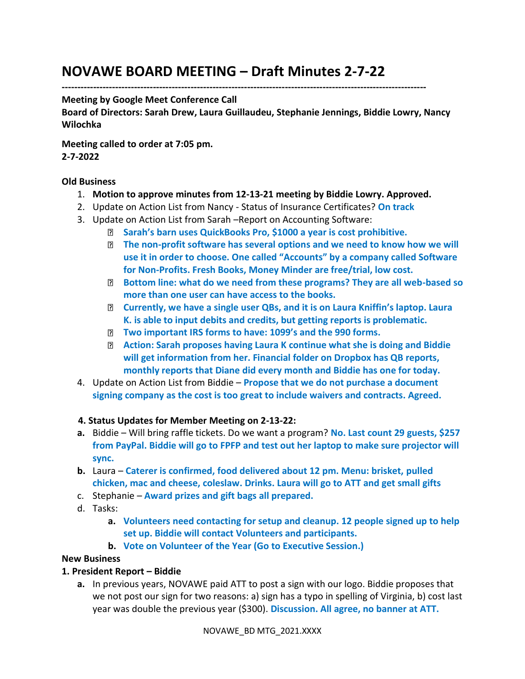# **NOVAWE BOARD MEETING – Draft Minutes 2-7-22**

**--------------------------------------------------------------------------------------------------------------------**

#### **Meeting by Google Meet Conference Call**

**Board of Directors: Sarah Drew, Laura Guillaudeu, Stephanie Jennings, Biddie Lowry, Nancy Wilochka**

**Meeting called to order at 7:05 pm. 2-7-2022** 

### **Old Business**

- 1. **Motion to approve minutes from 12-13-21 meeting by Biddie Lowry. Approved.**
- 2. Update on Action List from Nancy Status of Insurance Certificates? **On track**
- 3. Update on Action List from Sarah –Report on Accounting Software:
	- **Sarah's barn uses QuickBooks Pro, \$1000 a year is cost prohibitive.**
	- **The non-profit software has several options and we need to know how we will use it in order to choose. One called "Accounts" by a company called Software for Non-Profits. Fresh Books, Money Minder are free/trial, low cost.**
	- **Bottom line: what do we need from these programs? They are all web-based so more than one user can have access to the books.**
	- **Currently, we have a single user QBs, and it is on Laura Kniffin's laptop. Laura K. is able to input debits and credits, but getting reports is problematic.**
	- **Two important IRS forms to have: 1099's and the 990 forms.**
	- **Action: Sarah proposes having Laura K continue what she is doing and Biddie will get information from her. Financial folder on Dropbox has QB reports, monthly reports that Diane did every month and Biddie has one for today.**
- 4. Update on Action List from Biddie **Propose that we do not purchase a document signing company as the cost is too great to include waivers and contracts. Agreed.**

#### **4. Status Updates for Member Meeting on 2-13-22:**

- **a.** Biddie Will bring raffle tickets. Do we want a program? **No. Last count 29 guests, \$257 from PayPal. Biddie will go to FPFP and test out her laptop to make sure projector will sync.**
- **b.** Laura **Caterer is confirmed, food delivered about 12 pm. Menu: brisket, pulled chicken, mac and cheese, coleslaw. Drinks. Laura will go to ATT and get small gifts**
- c. Stephanie **Award prizes and gift bags all prepared.**
- d. Tasks:
	- **a. Volunteers need contacting for setup and cleanup. 12 people signed up to help set up. Biddie will contact Volunteers and participants.**
	- **b. Vote on Volunteer of the Year (Go to Executive Session.)**

#### **New Business**

#### **1. President Report – Biddie**

**a.** In previous years, NOVAWE paid ATT to post a sign with our logo. Biddie proposes that we not post our sign for two reasons: a) sign has a typo in spelling of Virginia, b) cost last year was double the previous year (\$300). **Discussion. All agree, no banner at ATT.**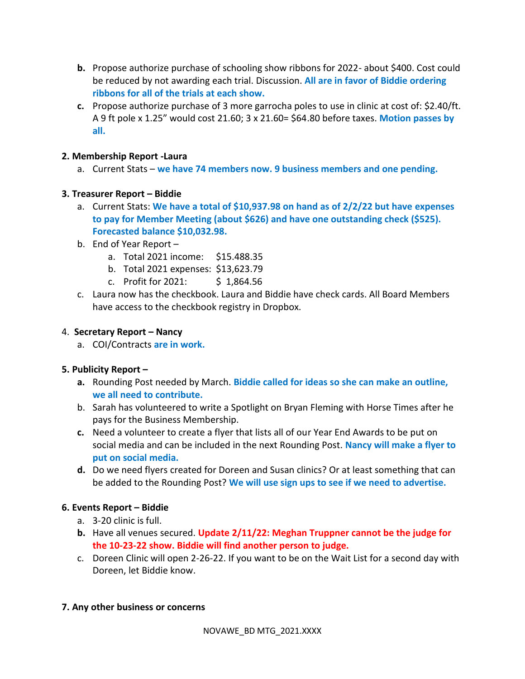- **b.** Propose authorize purchase of schooling show ribbons for 2022- about \$400. Cost could be reduced by not awarding each trial. Discussion. **All are in favor of Biddie ordering ribbons for all of the trials at each show.**
- **c.** Propose authorize purchase of 3 more garrocha poles to use in clinic at cost of: \$2.40/ft. A 9 ft pole x 1.25" would cost 21.60; 3 x 21.60= \$64.80 before taxes. **Motion passes by all.**

### **2. Membership Report -Laura**

a. Current Stats – **we have 74 members now. 9 business members and one pending.**

#### **3. Treasurer Report – Biddie**

- a. Current Stats: **We have a total of \$10,937.98 on hand as of 2/2/22 but have expenses to pay for Member Meeting (about \$626) and have one outstanding check (\$525). Forecasted balance \$10,032.98.**
- b. End of Year Report
	- a. Total 2021 income: \$15.488.35
	- b. Total 2021 expenses: \$13,623.79
	- c. Profit for 2021: \$ 1,864.56
- c. Laura now has the checkbook. Laura and Biddie have check cards. All Board Members have access to the checkbook registry in Dropbox.

#### 4. **Secretary Report – Nancy**

a. COI/Contracts **are in work.** 

# **5. Publicity Report –**

- **a.** Rounding Post needed by March. **Biddie called for ideas so she can make an outline, we all need to contribute.**
- b. Sarah has volunteered to write a Spotlight on Bryan Fleming with Horse Times after he pays for the Business Membership.
- **c.** Need a volunteer to create a flyer that lists all of our Year End Awards to be put on social media and can be included in the next Rounding Post. **Nancy will make a flyer to put on social media.**
- **d.** Do we need flyers created for Doreen and Susan clinics? Or at least something that can be added to the Rounding Post? **We will use sign ups to see if we need to advertise.**

# **6. Events Report – Biddie**

- a. 3-20 clinic is full.
- **b.** Have all venues secured. **Update 2/11/22: Meghan Truppner cannot be the judge for the 10-23-22 show. Biddie will find another person to judge.**
- c. Doreen Clinic will open 2-26-22. If you want to be on the Wait List for a second day with Doreen, let Biddie know.

# **7. Any other business or concerns**